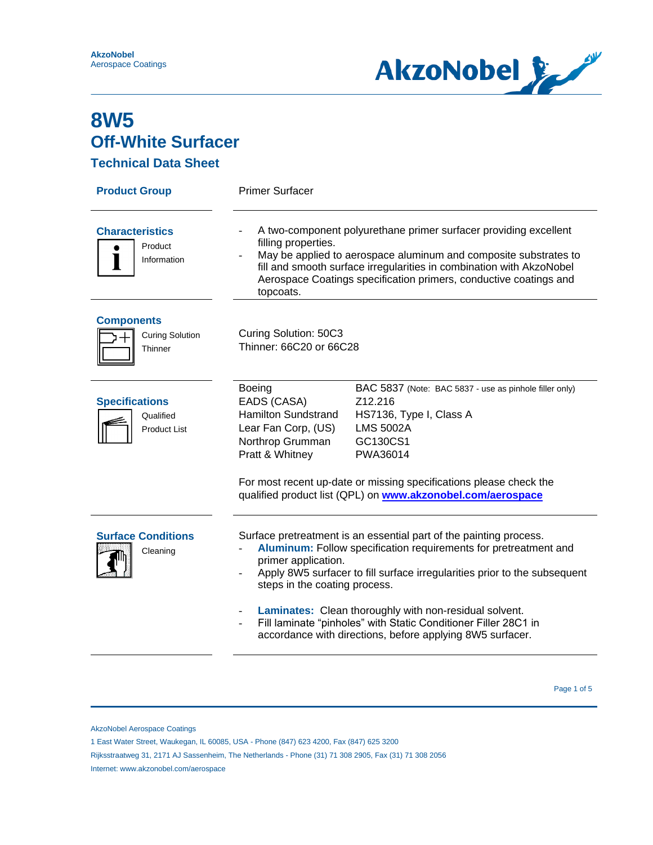

**Technical Data Sheet**

| <b>Product Group</b>                                      | <b>Primer Surfacer</b>                                                                                                                                                                                                                                                                                                                                                                                                                                                                            |                                                                                                                                                                                                                                                                               |  |
|-----------------------------------------------------------|---------------------------------------------------------------------------------------------------------------------------------------------------------------------------------------------------------------------------------------------------------------------------------------------------------------------------------------------------------------------------------------------------------------------------------------------------------------------------------------------------|-------------------------------------------------------------------------------------------------------------------------------------------------------------------------------------------------------------------------------------------------------------------------------|--|
| <b>Characteristics</b><br>Product<br>Information          | A two-component polyurethane primer surfacer providing excellent<br>filling properties.<br>May be applied to aerospace aluminum and composite substrates to<br>fill and smooth surface irregularities in combination with AkzoNobel<br>Aerospace Coatings specification primers, conductive coatings and<br>topcoats.                                                                                                                                                                             |                                                                                                                                                                                                                                                                               |  |
| <b>Components</b><br><b>Curing Solution</b><br>Thinner    | Curing Solution: 50C3<br>Thinner: 66C20 or 66C28                                                                                                                                                                                                                                                                                                                                                                                                                                                  |                                                                                                                                                                                                                                                                               |  |
| <b>Specifications</b><br>Qualified<br><b>Product List</b> | <b>Boeing</b><br>EADS (CASA)<br><b>Hamilton Sundstrand</b><br>Lear Fan Corp, (US)<br>Northrop Grumman<br>Pratt & Whitney                                                                                                                                                                                                                                                                                                                                                                          | BAC 5837 (Note: BAC 5837 - use as pinhole filler only)<br>Z12.216<br>HS7136, Type I, Class A<br><b>LMS 5002A</b><br>GC130CS1<br>PWA36014<br>For most recent up-date or missing specifications please check the<br>qualified product list (QPL) on www.akzonobel.com/aerospace |  |
| <b>Surface Conditions</b><br>Cleaning                     | Surface pretreatment is an essential part of the painting process.<br>Aluminum: Follow specification requirements for pretreatment and<br>primer application.<br>Apply 8W5 surfacer to fill surface irregularities prior to the subsequent<br>steps in the coating process.<br>Laminates: Clean thoroughly with non-residual solvent.<br>Fill laminate "pinholes" with Static Conditioner Filler 28C1 in<br>$\overline{\phantom{a}}$<br>accordance with directions, before applying 8W5 surfacer. |                                                                                                                                                                                                                                                                               |  |

Page 1 of 5  $^{\circ}$  Page 1 of 5  $^{\circ}$ 

AkzoNobel Aerospace Coatings

1 East Water Street, Waukegan, IL 60085, USA - Phone (847) 623 4200, Fax (847) 625 3200

Rijksstraatweg 31, 2171 AJ Sassenheim, The Netherlands - Phone (31) 71 308 2905, Fax (31) 71 308 2056

Internet: www.akzonobel.com/aerospace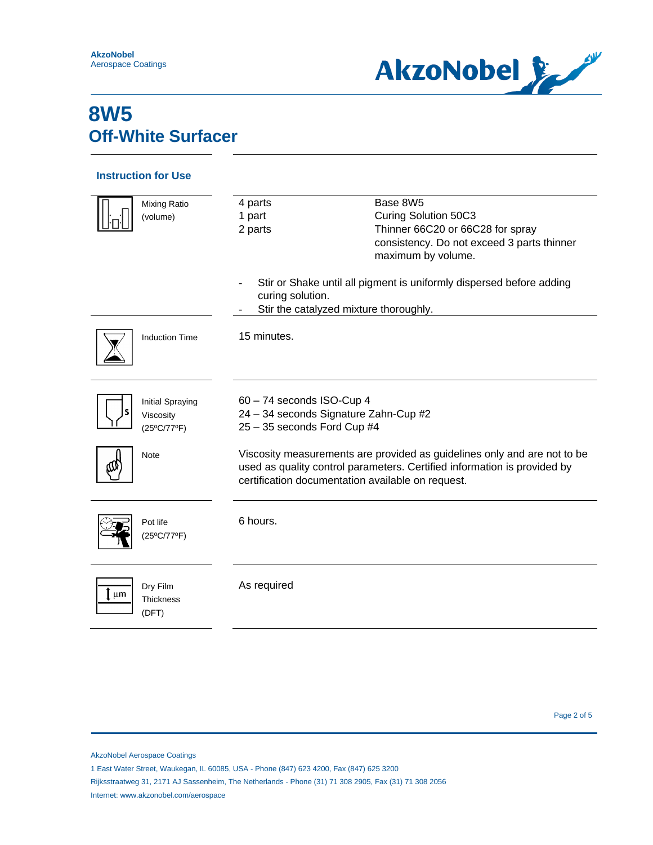

#### **Instruction for Use**

J.

| <b>Mixing Ratio</b><br>(volume)                     | Base 8W5<br>4 parts<br>Curing Solution 50C3<br>1 part<br>Thinner 66C20 or 66C28 for spray<br>2 parts<br>consistency. Do not exceed 3 parts thinner<br>maximum by volume.                                  |  |
|-----------------------------------------------------|-----------------------------------------------------------------------------------------------------------------------------------------------------------------------------------------------------------|--|
|                                                     | Stir or Shake until all pigment is uniformly dispersed before adding<br>curing solution.<br>Stir the catalyzed mixture thoroughly.                                                                        |  |
| <b>Induction Time</b>                               | 15 minutes.                                                                                                                                                                                               |  |
| <b>Initial Spraying</b><br>Viscosity<br>(25°C/77°F) | 60 - 74 seconds ISO-Cup 4<br>24 - 34 seconds Signature Zahn-Cup #2<br>25 - 35 seconds Ford Cup #4                                                                                                         |  |
| <b>Note</b>                                         | Viscosity measurements are provided as guidelines only and are not to be<br>used as quality control parameters. Certified information is provided by<br>certification documentation available on request. |  |
| Pot life<br>(25°C/77°F)                             | 6 hours.                                                                                                                                                                                                  |  |
| Dry Film<br>μm<br><b>Thickness</b><br>(DFT)         | As required                                                                                                                                                                                               |  |

Page 2 of 5

AkzoNobel Aerospace Coatings

1 East Water Street, Waukegan, IL 60085, USA - Phone (847) 623 4200, Fax (847) 625 3200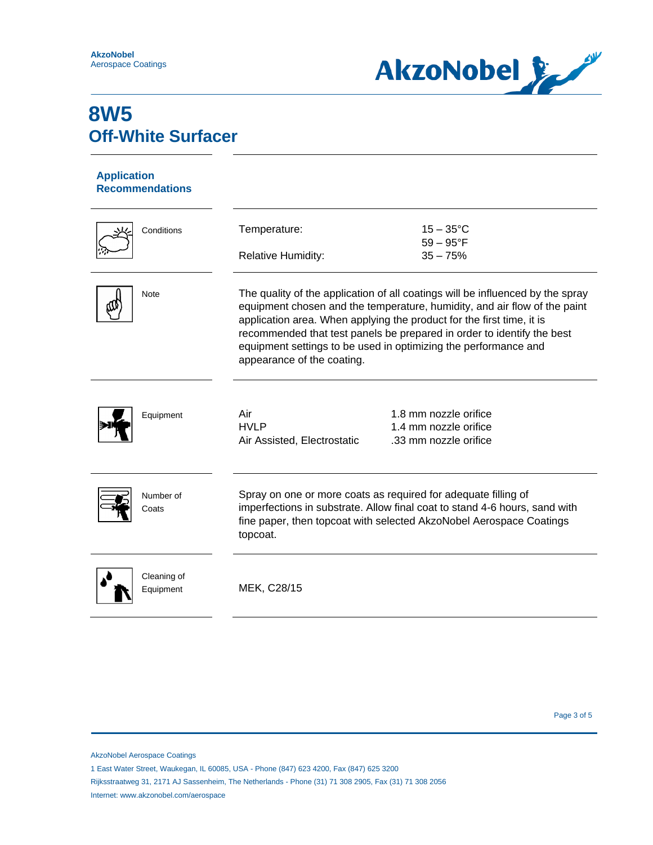

### **Application Recommendations**

| Conditions               | Temperature:<br><b>Relative Humidity:</b>                                                                                                                                                                                                                                                                                                                                                                       | $15 - 35^{\circ}$ C<br>$59 - 95^{\circ}F$<br>$35 - 75%$                 |
|--------------------------|-----------------------------------------------------------------------------------------------------------------------------------------------------------------------------------------------------------------------------------------------------------------------------------------------------------------------------------------------------------------------------------------------------------------|-------------------------------------------------------------------------|
| <b>Note</b>              | The quality of the application of all coatings will be influenced by the spray<br>equipment chosen and the temperature, humidity, and air flow of the paint<br>application area. When applying the product for the first time, it is<br>recommended that test panels be prepared in order to identify the best<br>equipment settings to be used in optimizing the performance and<br>appearance of the coating. |                                                                         |
| Equipment                | Air<br><b>HVLP</b><br>Air Assisted, Electrostatic                                                                                                                                                                                                                                                                                                                                                               | 1.8 mm nozzle orifice<br>1.4 mm nozzle orifice<br>.33 mm nozzle orifice |
| Number of<br>Coats       | Spray on one or more coats as required for adequate filling of<br>imperfections in substrate. Allow final coat to stand 4-6 hours, sand with<br>fine paper, then topcoat with selected AkzoNobel Aerospace Coatings<br>topcoat.                                                                                                                                                                                 |                                                                         |
| Cleaning of<br>Equipment | MEK, C28/15                                                                                                                                                                                                                                                                                                                                                                                                     |                                                                         |

AkzoNobel Aerospace Coatings

<sup>1</sup> East Water Street, Waukegan, IL 60085, USA - Phone (847) 623 4200, Fax (847) 625 3200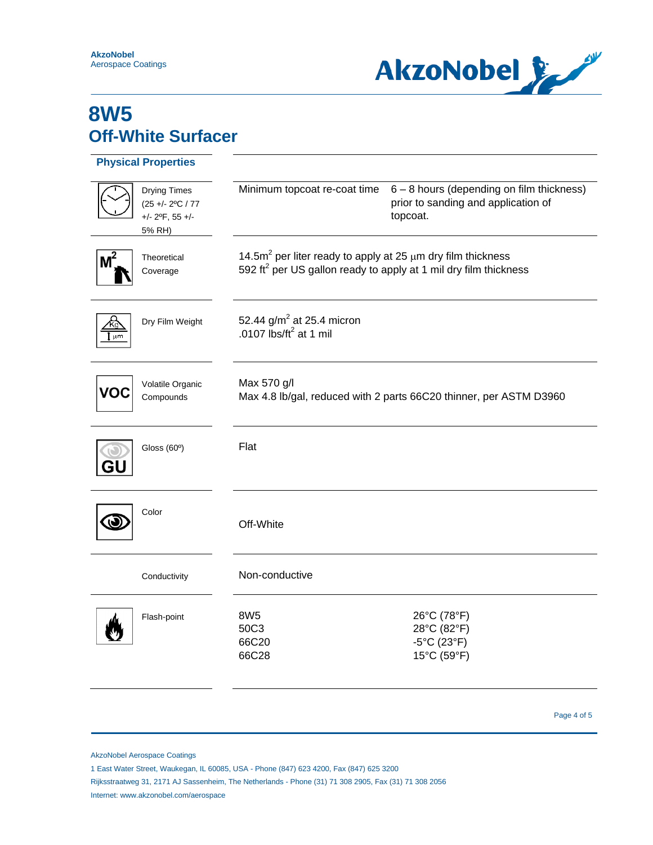

|       | <b>Physical Properties</b>                                                                             |                                                                                                                                                     |                                                                                              |
|-------|--------------------------------------------------------------------------------------------------------|-----------------------------------------------------------------------------------------------------------------------------------------------------|----------------------------------------------------------------------------------------------|
|       | <b>Drying Times</b><br>$(25 + - 2^{\circ}\text{C} / 77)$<br>$+/- 2$ <sup>o</sup> F, 55 $+/-$<br>5% RH) | Minimum topcoat re-coat time                                                                                                                        | 6 - 8 hours (depending on film thickness)<br>prior to sanding and application of<br>topcoat. |
| $M^2$ | Theoretical<br>Coverage                                                                                | 14.5 $m2$ per liter ready to apply at 25 $\mu$ m dry film thickness<br>592 ft <sup>2</sup> per US gallon ready to apply at 1 mil dry film thickness |                                                                                              |
| µm    | Dry Film Weight                                                                                        | 52.44 $g/m2$ at 25.4 micron<br>.0107 $\text{lbs/ft}^2$ at 1 mil                                                                                     |                                                                                              |
|       | Volatile Organic<br>Compounds                                                                          | Max 570 g/l<br>Max 4.8 lb/gal, reduced with 2 parts 66C20 thinner, per ASTM D3960                                                                   |                                                                                              |
|       | Gloss $(60°)$                                                                                          | Flat                                                                                                                                                |                                                                                              |
|       | Color                                                                                                  | Off-White                                                                                                                                           |                                                                                              |
|       | Conductivity                                                                                           | Non-conductive                                                                                                                                      |                                                                                              |
|       | Flash-point                                                                                            | 8W <sub>5</sub><br>50C3<br>66C20<br>66C28                                                                                                           | 26°C (78°F)<br>28°C (82°F)<br>$-5^{\circ}$ C (23 $^{\circ}$ F)<br>15°C (59°F)                |

Page 4 of 5

AkzoNobel Aerospace Coatings

1 East Water Street, Waukegan, IL 60085, USA - Phone (847) 623 4200, Fax (847) 625 3200